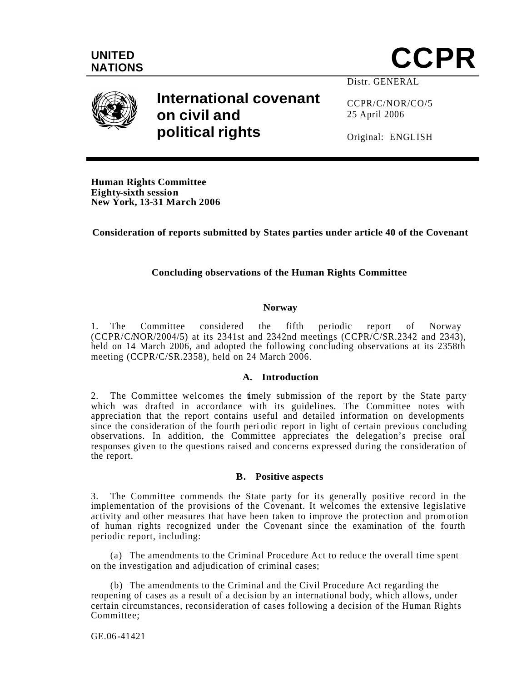





# **International covenant on civil and political rights**

Distr. GENERAL

CCPR/C/NOR/CO/5 25 April 2006

Original: ENGLISH

**Human Rights Committee Eighty-sixth session New York, 13-31 March 2006**

**Consideration of reports submitted by States parties under article 40 of the Covenant**

## **Concluding observations of the Human Rights Committee**

#### **Norway**

1. The Committee considered the fifth periodic report of Norway  $(CCPR/CMOR/2004/5)$  at its 2341st and 2342nd meetings  $(CCPR/\tilde{C}/SR.2342$  and 2343), held on 14 March 2006, and adopted the following concluding observations at its 2358th meeting (CCPR/C/SR.2358), held on 24 March 2006.

#### **A. Introduction**

2. The Committee welcomes the timely submission of the report by the State party which was drafted in accordance with its guidelines. The Committee notes with appreciation that the report contains useful and detailed information on developments since the consideration of the fourth peri odic report in light of certain previous concluding observations. In addition, the Committee appreciates the delegation's precise oral responses given to the questions raised and concerns expressed during the consideration of the report.

#### **B. Positive aspects**

3. The Committee commends the State party for its generally positive record in the implementation of the provisions of the Covenant. It welcomes the extensive legislative activity and other measures that have been taken to improve the protection and prom otion of human rights recognized under the Covenant since the examination of the fourth periodic report, including:

(a) The amendments to the Criminal Procedure Act to reduce the overall time spent on the investigation and adjudication of criminal cases;

(b) The amendments to the Criminal and the Civil Procedure Act regarding the reopening of cases as a result of a decision by an international body, which allows, under certain circumstances, reconsideration of cases following a decision of the Human Rights Committee;

GE.06-41421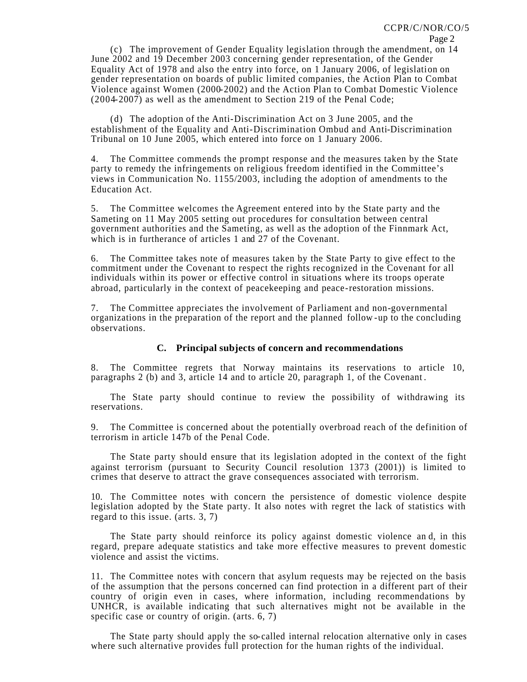(c) The improvement of Gender Equality legislation through the amendment, on 14 June 2002 and 19 December 2003 concerning gender representation, of the Gender Equality Act of 1978 and also the entry into force, on 1 January 2006, of legislation on gender representation on boards of public limited companies, the Action Plan to Combat Violence against Women (2000-2002) and the Action Plan to Combat Domestic Violence (2004-2007) as well as the amendment to Section 219 of the Penal Code;

(d) The adoption of the Anti-Discrimination Act on 3 June 2005, and the establishment of the Equality and Anti-Discrimination Ombud and Anti-Discrimination Tribunal on 10 June 2005, which entered into force on 1 January 2006.

4. The Committee commends the prompt response and the measures taken by the State party to remedy the infringements on religious freedom identified in the Committee's views in Communication No. 1155/2003, including the adoption of amendments to the Education Act.

5. The Committee welcomes the Agreement entered into by the State party and the Sameting on 11 May 2005 setting out procedures for consultation between central government authorities and the Sameting, as well as the adoption of the Finnmark Act, which is in furtherance of articles 1 and 27 of the Covenant.

6. The Committee takes note of measures taken by the State Party to give effect to the commitment under the Covenant to respect the rights recognized in the Covenant for all individuals within its power or effective control in situations where its troops operate abroad, particularly in the context of peacekeeping and peace-restoration missions.

7. The Committee appreciates the involvement of Parliament and non-governmental organizations in the preparation of the report and the planned follow -up to the concluding observations.

#### **C. Principal subjects of concern and recommendations**

8. The Committee regrets that Norway maintains its reservations to article 10, paragraphs 2 (b) and 3, article 14 and to article 20, paragraph 1, of the Covenant .

The State party should continue to review the possibility of withdrawing its reservations.

9. The Committee is concerned about the potentially overbroad reach of the definition of terrorism in article 147b of the Penal Code.

The State party should ensure that its legislation adopted in the context of the fight against terrorism (pursuant to Security Council resolution 1373 (2001)) is limited to crimes that deserve to attract the grave consequences associated with terrorism.

10. The Committee notes with concern the persistence of domestic violence despite legislation adopted by the State party. It also notes with regret the lack of statistics with regard to this issue. (arts. 3, 7)

The State party should reinforce its policy against domestic violence an d, in this regard, prepare adequate statistics and take more effective measures to prevent domestic violence and assist the victims.

11. The Committee notes with concern that asylum requests may be rejected on the basis of the assumption that the persons concerned can find protection in a different part of their country of origin even in cases, where information, including recommendations by UNHCR, is available indicating that such alternatives might not be available in the specific case or country of origin. (arts. 6, 7)

The State party should apply the so-called internal relocation alternative only in cases where such alternative provides full protection for the human rights of the individual.